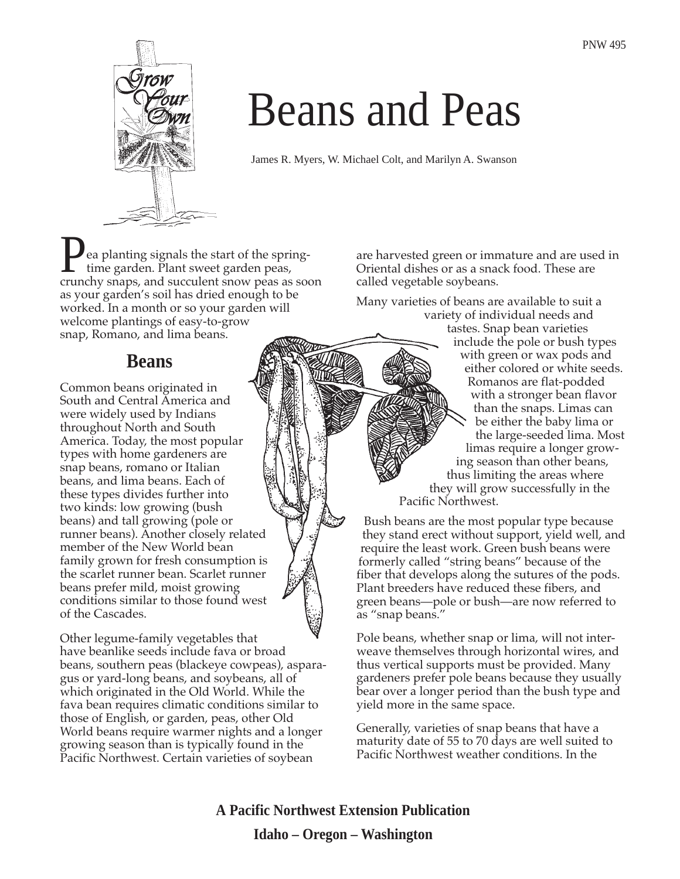

# Beans and Peas

James R. Myers, W. Michael Colt, and Marilyn A. Swanson

ea planting signals the start of the springtime garden. Plant sweet garden peas, **P**ea planting signals the start of the spring-<br>time garden. Plant sweet garden peas,<br>crunchy snaps, and succulent snow peas as soon as your garden's soil has dried enough to be worked. In a month or so your garden will welcome plantings of easy-to-grow snap, Romano, and lima beans.

## **Beans**

Common beans originated in South and Central America and were widely used by Indians throughout North and South America. Today, the most popular types with home gardeners are snap beans, romano or Italian beans, and lima beans. Each of these types divides further into two kinds: low growing (bush beans) and tall growing (pole or runner beans). Another closely related member of the New World bean family grown for fresh consumption is the scarlet runner bean. Scarlet runner beans prefer mild, moist growing conditions similar to those found west of the Cascades.

Other legume-family vegetables that have beanlike seeds include fava or broad beans, southern peas (blackeye cowpeas), asparagus or yard-long beans, and soybeans, all of which originated in the Old World. While the fava bean requires climatic conditions similar to those of English, or garden, peas, other Old World beans require warmer nights and a longer growing season than is typically found in the Pacific Northwest. Certain varieties of soybean

are harvested green or immature and are used in Oriental dishes or as a snack food. These are called vegetable soybeans.

Many varieties of beans are available to suit a variety of individual needs and tastes. Snap bean varieties include the pole or bush types with green or wax pods and either colored or white seeds. Romanos are flat-podded with a stronger bean flavor than the snaps. Limas can be either the baby lima or the large-seeded lima. Most limas require a longer growing season than other beans, thus limiting the areas where they will grow successfully in the Pacific Northwest.

Bush beans are the most popular type because they stand erect without support, yield well, and require the least work. Green bush beans were formerly called "string beans" because of the fiber that develops along the sutures of the pods. Plant breeders have reduced these fibers, and green beans—pole or bush—are now referred to as "snap beans."

Pole beans, whether snap or lima, will not interweave themselves through horizontal wires, and thus vertical supports must be provided. Many gardeners prefer pole beans because they usually bear over a longer period than the bush type and yield more in the same space.

Generally, varieties of snap beans that have a maturity date of 55 to 70 days are well suited to Pacific Northwest weather conditions. In the

**A Pacific Northwest Extension Publication Idaho – Oregon – Washington**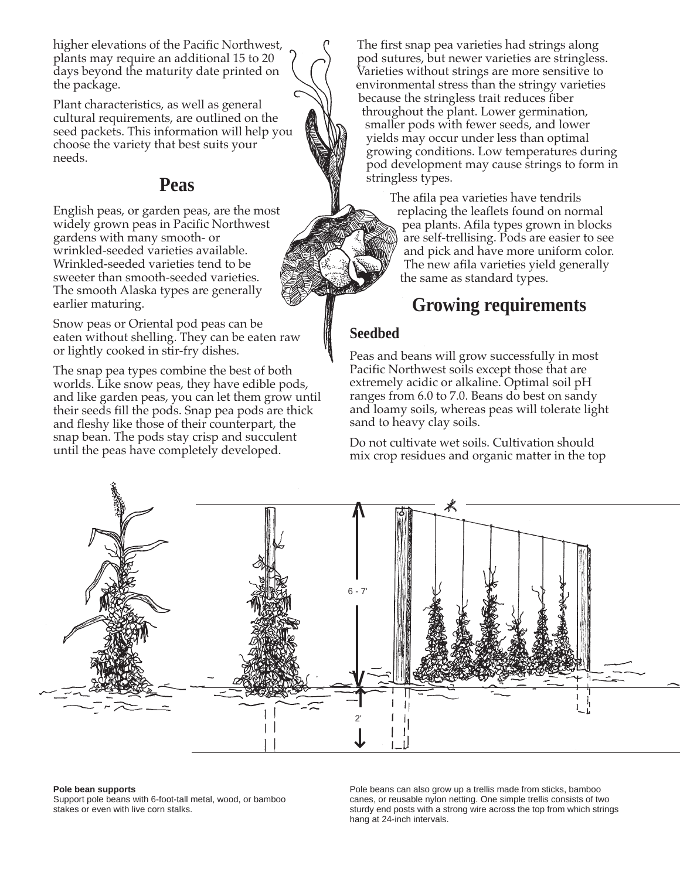higher elevations of the Pacific Northwest, plants may require an additional 15 to 20 days beyond the maturity date printed on the package.

Plant characteristics, as well as general cultural requirements, are outlined on the seed packets. This information will help you choose the variety that best suits your needs.

## **Peas**

English peas, or garden peas, are the most widely grown peas in Pacific Northwest gardens with many smooth- or wrinkled-seeded varieties available. Wrinkled-seeded varieties tend to be sweeter than smooth-seeded varieties. The smooth Alaska types are generally earlier maturing.

Snow peas or Oriental pod peas can be eaten without shelling. They can be eaten raw or lightly cooked in stir-fry dishes.

The snap pea types combine the best of both worlds. Like snow peas, they have edible pods, and like garden peas, you can let them grow until their seeds fill the pods. Snap pea pods are thick and fleshy like those of their counterpart, the snap bean. The pods stay crisp and succulent until the peas have completely developed.

The first snap pea varieties had strings along pod sutures, but newer varieties are stringless. Varieties without strings are more sensitive to environmental stress than the stringy varieties because the stringless trait reduces fiber throughout the plant. Lower germination, smaller pods with fewer seeds, and lower yields may occur under less than optimal growing conditions. Low temperatures during pod development may cause strings to form in stringless types.

> The afila pea varieties have tendrils replacing the leaflets found on normal pea plants. Afila types grown in blocks are self-trellising. Pods are easier to see and pick and have more uniform color. The new afila varieties yield generally the same as standard types.

# **Growing requirements**

#### **Seedbed**

Peas and beans will grow successfully in most Pacific Northwest soils except those that are extremely acidic or alkaline. Optimal soil pH ranges from 6.0 to 7.0. Beans do best on sandy and loamy soils, whereas peas will tolerate light sand to heavy clay soils.

Do not cultivate wet soils. Cultivation should mix crop residues and organic matter in the top



#### **Pole bean supports**

Support pole beans with 6-foot-tall metal, wood, or bamboo stakes or even with live corn stalks.

Pole beans can also grow up a trellis made from sticks, bamboo canes, or reusable nylon netting. One simple trellis consists of two sturdy end posts with a strong wire across the top from which strings hang at 24-inch intervals.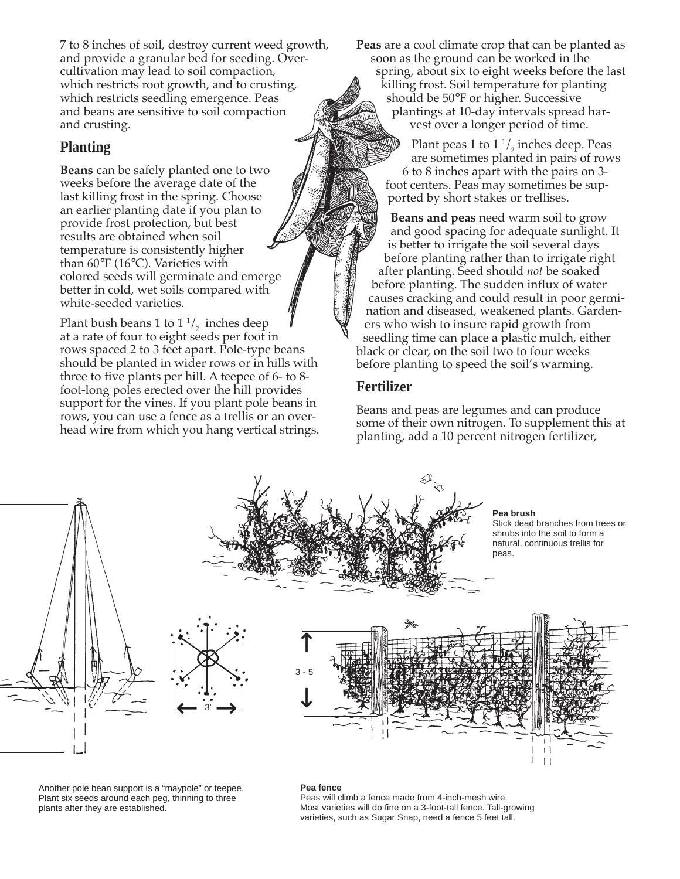7 to 8 inches of soil, destroy current weed growth, and provide a granular bed for seeding. Overcultivation may lead to soil compaction, which restricts root growth, and to crusting, which restricts seedling emergence. Peas and beans are sensitive to soil compaction and crusting.

### **Planting**

**Beans** can be safely planted one to two weeks before the average date of the last killing frost in the spring. Choose an earlier planting date if you plan to provide frost protection, but best results are obtained when soil temperature is consistently higher than 60°F (16°C). Varieties with colored seeds will germinate and emerge better in cold, wet soils compared with white-seeded varieties.

Plant bush beans 1 to  $1 \frac{1}{2}$  inches deep at a rate of four to eight seeds per foot in rows spaced 2 to 3 feet apart. Pole-type beans should be planted in wider rows or in hills with three to five plants per hill. A teepee of 6- to 8 foot-long poles erected over the hill provides support for the vines. If you plant pole beans in rows, you can use a fence as a trellis or an overhead wire from which you hang vertical strings. **Peas** are a cool climate crop that can be planted as soon as the ground can be worked in the spring, about six to eight weeks before the last killing frost. Soil temperature for planting should be 50°F or higher. Successive plantings at 10-day intervals spread harvest over a longer period of time.

> Plant peas 1 to  $1\frac{1}{2}$  inches deep. Peas are sometimes planted in pairs of rows 6 to 8 inches apart with the pairs on 3 foot centers. Peas may sometimes be supported by short stakes or trellises.

**Beans and peas** need warm soil to grow and good spacing for adequate sunlight. It is better to irrigate the soil several days before planting rather than to irrigate right after planting. Seed should *not* be soaked before planting. The sudden influx of water causes cracking and could result in poor germination and diseased, weakened plants. Gardeners who wish to insure rapid growth from seedling time can place a plastic mulch, either black or clear, on the soil two to four weeks before planting to speed the soil's warming.

#### **Fertilizer**

Beans and peas are legumes and can produce some of their own nitrogen. To supplement this at planting, add a 10 percent nitrogen fertilizer,



Another pole bean support is a "maypole" or teepee. Plant six seeds around each peg, thinning to three plants after they are established.

#### **Pea fence**

Peas will climb a fence made from 4-inch-mesh wire. Most varieties will do fine on a 3-foot-tall fence. Tall-growing varieties, such as Sugar Snap, need a fence 5 feet tall.